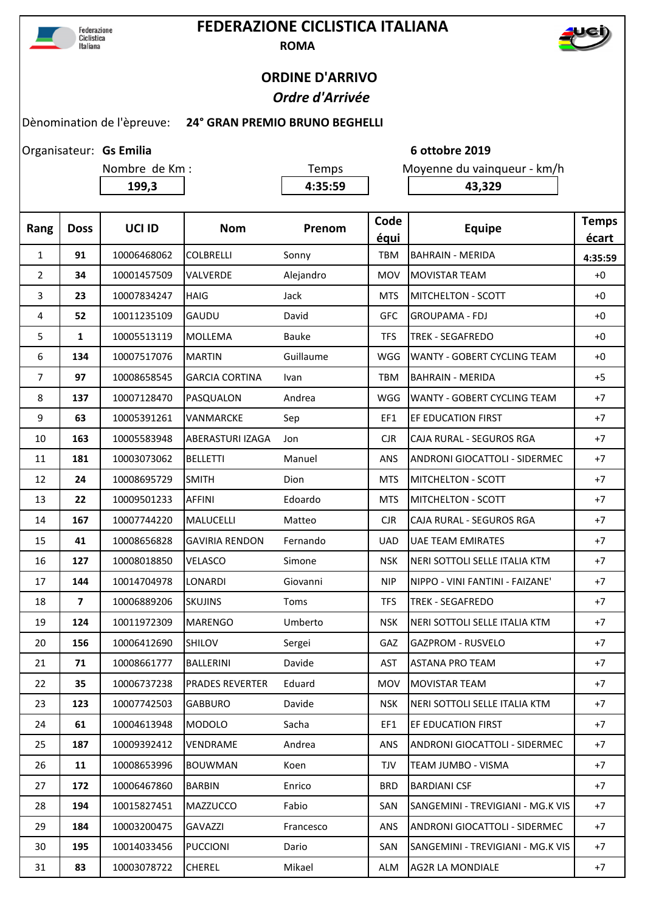

## **FEDERAZIONE CICLISTICA ITALIANA ROMA**



## **ORDINE D'ARRIVO**  *Ordre d'Arrivée*

## Dènomination de l'èpreuve: **24° GRAN PREMIO BRUNO BEGHELLI**

Organisateur: Gs Emilia

| Nombre de Km : |  |  |
|----------------|--|--|
|                |  |  |

Temps Moyenne du vainqueur - km/h

**199,3 4:35:59 43,329**

**Gs Emilia 6 ottobre 2019**

| $\mathbf{1}$<br>91<br><b>TBM</b><br>10006468062<br><b>COLBRELLI</b><br><b>BAHRAIN - MERIDA</b><br>Sonny<br>4:35:59<br>$\overline{2}$<br>34<br>10001457509<br><b>VALVERDE</b><br>Alejandro<br><b>MOV</b><br>$+0$<br><b>MOVISTAR TEAM</b><br>3<br>23<br>10007834247<br><b>HAIG</b><br>Jack<br><b>MTS</b><br>MITCHELTON - SCOTT<br>$+0$<br>10011235109<br>GAUDU<br>David<br>52<br><b>GFC</b><br><b>GROUPAMA - FDJ</b><br>$+0$<br>4<br>5<br>1<br>10005513119<br><b>MOLLEMA</b><br>Bauke<br><b>TFS</b><br><b>TREK - SEGAFREDO</b><br>$+0$<br>10007517076<br><b>MARTIN</b><br>6<br>134<br>Guillaume<br>WGG<br>WANTY - GOBERT CYCLING TEAM<br>$+0$<br>$\overline{7}$<br>97<br>10008658545<br><b>GARCIA CORTINA</b><br>$+5$<br><b>TBM</b><br><b>BAHRAIN - MERIDA</b><br>Ivan<br>8<br>137<br>10007128470<br>PASQUALON<br>WGG<br>WANTY - GOBERT CYCLING TEAM<br>$+7$<br>Andrea<br>9<br>63<br>10005391261<br><b>EF EDUCATION FIRST</b><br>$+7$<br>VANMARCKE<br>Sep<br>EF1<br>163<br>10005583948<br>ABERASTURI IZAGA<br><b>CJR</b><br>CAJA RURAL - SEGUROS RGA<br>$+7$<br>10<br>Jon<br>181<br>10003073062<br><b>BELLETTI</b><br>Manuel<br>ANS<br><b>ANDRONI GIOCATTOLI - SIDERMEC</b><br>$+7$<br>11<br>24<br><b>SMITH</b><br>10008695729<br>Dion<br><b>MTS</b><br><b>MITCHELTON - SCOTT</b><br>12<br>$+7$<br>22<br>10009501233<br><b>AFFINI</b><br>13<br>Edoardo<br><b>MTS</b><br><b>MITCHELTON - SCOTT</b><br>$+7$<br>167<br>10007744220<br><b>MALUCELLI</b><br><b>CJR</b><br>CAJA RURAL - SEGUROS RGA<br>$+7$<br>14<br>Matteo<br>41<br><b>UAE TEAM EMIRATES</b><br>15<br>10008656828<br><b>GAVIRIA RENDON</b><br><b>UAD</b><br>$+7$<br>Fernando<br>127<br>10008018850<br>VELASCO<br>Simone<br><b>NSK</b><br>NERI SOTTOLI SELLE ITALIA KTM<br>$+7$<br>16<br>144<br>10014704978<br>LONARDI<br>Giovanni<br><b>NIP</b><br>NIPPO - VINI FANTINI - FAIZANE'<br>$+7$<br>17<br>$\overline{\mathbf{z}}$<br>10006889206<br>18<br><b>SKUJINS</b><br>Toms<br><b>TFS</b><br><b>TREK - SEGAFREDO</b><br>$+7$<br>124<br>10011972309<br><b>MARENGO</b><br>Umberto<br><b>NSK</b><br>NERI SOTTOLI SELLE ITALIA KTM<br>19<br>$+7$<br>20<br>156<br>10006412690<br><b>SHILOV</b><br>GAZ<br><b>GAZPROM - RUSVELO</b><br>$+7$<br>Sergei<br>71<br>10008661777<br><b>BALLERINI</b><br>Davide<br><b>AST</b><br><b>ASTANA PRO TEAM</b><br>$+7$<br>21<br>22<br>35<br>10006737238<br>Eduard<br><b>MOV</b><br>$+7$<br><b>PRADES REVERTER</b><br><b>MOVISTAR TEAM</b><br>23<br>123<br>10007742503<br>Davide<br>NERI SOTTOLI SELLE ITALIA KTM<br><b>GABBURO</b><br><b>NSK</b><br>$+7$<br>10004613948<br><b>MODOLO</b><br>Sacha<br>EF1<br>24<br>61<br>EF EDUCATION FIRST<br>$+7$<br>10009392412<br>VENDRAME<br>Andrea<br>ANDRONI GIOCATTOLI - SIDERMEC<br>25<br>187<br><b>ANS</b><br>$+7$<br>10008653996<br><b>BOUWMAN</b><br>26<br>11<br>Koen<br>TJV<br>TEAM JUMBO - VISMA<br>$+7$<br>172<br>10006467860<br><b>BARBIN</b><br><b>BRD</b><br><b>BARDIANI CSF</b><br>27<br>Enrico<br>$+7$ | Rang | <b>Doss</b> | UCI ID      | <b>Nom</b>      | Prenom | Code<br>équi | <b>Equipe</b>                     | <b>Temps</b><br>écart |
|----------------------------------------------------------------------------------------------------------------------------------------------------------------------------------------------------------------------------------------------------------------------------------------------------------------------------------------------------------------------------------------------------------------------------------------------------------------------------------------------------------------------------------------------------------------------------------------------------------------------------------------------------------------------------------------------------------------------------------------------------------------------------------------------------------------------------------------------------------------------------------------------------------------------------------------------------------------------------------------------------------------------------------------------------------------------------------------------------------------------------------------------------------------------------------------------------------------------------------------------------------------------------------------------------------------------------------------------------------------------------------------------------------------------------------------------------------------------------------------------------------------------------------------------------------------------------------------------------------------------------------------------------------------------------------------------------------------------------------------------------------------------------------------------------------------------------------------------------------------------------------------------------------------------------------------------------------------------------------------------------------------------------------------------------------------------------------------------------------------------------------------------------------------------------------------------------------------------------------------------------------------------------------------------------------------------------------------------------------------------------------------------------------------------------------------------------------------------------------------------------------------------------------------------------------------------------------------------------------------------------------------------------------------------------------------------------------------------------------------------------------------------------------------------------------------------------------------------------------------------------------------------------------------------------------------------|------|-------------|-------------|-----------------|--------|--------------|-----------------------------------|-----------------------|
|                                                                                                                                                                                                                                                                                                                                                                                                                                                                                                                                                                                                                                                                                                                                                                                                                                                                                                                                                                                                                                                                                                                                                                                                                                                                                                                                                                                                                                                                                                                                                                                                                                                                                                                                                                                                                                                                                                                                                                                                                                                                                                                                                                                                                                                                                                                                                                                                                                                                                                                                                                                                                                                                                                                                                                                                                                                                                                                                              |      |             |             |                 |        |              |                                   |                       |
|                                                                                                                                                                                                                                                                                                                                                                                                                                                                                                                                                                                                                                                                                                                                                                                                                                                                                                                                                                                                                                                                                                                                                                                                                                                                                                                                                                                                                                                                                                                                                                                                                                                                                                                                                                                                                                                                                                                                                                                                                                                                                                                                                                                                                                                                                                                                                                                                                                                                                                                                                                                                                                                                                                                                                                                                                                                                                                                                              |      |             |             |                 |        |              |                                   |                       |
|                                                                                                                                                                                                                                                                                                                                                                                                                                                                                                                                                                                                                                                                                                                                                                                                                                                                                                                                                                                                                                                                                                                                                                                                                                                                                                                                                                                                                                                                                                                                                                                                                                                                                                                                                                                                                                                                                                                                                                                                                                                                                                                                                                                                                                                                                                                                                                                                                                                                                                                                                                                                                                                                                                                                                                                                                                                                                                                                              |      |             |             |                 |        |              |                                   |                       |
|                                                                                                                                                                                                                                                                                                                                                                                                                                                                                                                                                                                                                                                                                                                                                                                                                                                                                                                                                                                                                                                                                                                                                                                                                                                                                                                                                                                                                                                                                                                                                                                                                                                                                                                                                                                                                                                                                                                                                                                                                                                                                                                                                                                                                                                                                                                                                                                                                                                                                                                                                                                                                                                                                                                                                                                                                                                                                                                                              |      |             |             |                 |        |              |                                   |                       |
|                                                                                                                                                                                                                                                                                                                                                                                                                                                                                                                                                                                                                                                                                                                                                                                                                                                                                                                                                                                                                                                                                                                                                                                                                                                                                                                                                                                                                                                                                                                                                                                                                                                                                                                                                                                                                                                                                                                                                                                                                                                                                                                                                                                                                                                                                                                                                                                                                                                                                                                                                                                                                                                                                                                                                                                                                                                                                                                                              |      |             |             |                 |        |              |                                   |                       |
|                                                                                                                                                                                                                                                                                                                                                                                                                                                                                                                                                                                                                                                                                                                                                                                                                                                                                                                                                                                                                                                                                                                                                                                                                                                                                                                                                                                                                                                                                                                                                                                                                                                                                                                                                                                                                                                                                                                                                                                                                                                                                                                                                                                                                                                                                                                                                                                                                                                                                                                                                                                                                                                                                                                                                                                                                                                                                                                                              |      |             |             |                 |        |              |                                   |                       |
|                                                                                                                                                                                                                                                                                                                                                                                                                                                                                                                                                                                                                                                                                                                                                                                                                                                                                                                                                                                                                                                                                                                                                                                                                                                                                                                                                                                                                                                                                                                                                                                                                                                                                                                                                                                                                                                                                                                                                                                                                                                                                                                                                                                                                                                                                                                                                                                                                                                                                                                                                                                                                                                                                                                                                                                                                                                                                                                                              |      |             |             |                 |        |              |                                   |                       |
|                                                                                                                                                                                                                                                                                                                                                                                                                                                                                                                                                                                                                                                                                                                                                                                                                                                                                                                                                                                                                                                                                                                                                                                                                                                                                                                                                                                                                                                                                                                                                                                                                                                                                                                                                                                                                                                                                                                                                                                                                                                                                                                                                                                                                                                                                                                                                                                                                                                                                                                                                                                                                                                                                                                                                                                                                                                                                                                                              |      |             |             |                 |        |              |                                   |                       |
|                                                                                                                                                                                                                                                                                                                                                                                                                                                                                                                                                                                                                                                                                                                                                                                                                                                                                                                                                                                                                                                                                                                                                                                                                                                                                                                                                                                                                                                                                                                                                                                                                                                                                                                                                                                                                                                                                                                                                                                                                                                                                                                                                                                                                                                                                                                                                                                                                                                                                                                                                                                                                                                                                                                                                                                                                                                                                                                                              |      |             |             |                 |        |              |                                   |                       |
|                                                                                                                                                                                                                                                                                                                                                                                                                                                                                                                                                                                                                                                                                                                                                                                                                                                                                                                                                                                                                                                                                                                                                                                                                                                                                                                                                                                                                                                                                                                                                                                                                                                                                                                                                                                                                                                                                                                                                                                                                                                                                                                                                                                                                                                                                                                                                                                                                                                                                                                                                                                                                                                                                                                                                                                                                                                                                                                                              |      |             |             |                 |        |              |                                   |                       |
|                                                                                                                                                                                                                                                                                                                                                                                                                                                                                                                                                                                                                                                                                                                                                                                                                                                                                                                                                                                                                                                                                                                                                                                                                                                                                                                                                                                                                                                                                                                                                                                                                                                                                                                                                                                                                                                                                                                                                                                                                                                                                                                                                                                                                                                                                                                                                                                                                                                                                                                                                                                                                                                                                                                                                                                                                                                                                                                                              |      |             |             |                 |        |              |                                   |                       |
|                                                                                                                                                                                                                                                                                                                                                                                                                                                                                                                                                                                                                                                                                                                                                                                                                                                                                                                                                                                                                                                                                                                                                                                                                                                                                                                                                                                                                                                                                                                                                                                                                                                                                                                                                                                                                                                                                                                                                                                                                                                                                                                                                                                                                                                                                                                                                                                                                                                                                                                                                                                                                                                                                                                                                                                                                                                                                                                                              |      |             |             |                 |        |              |                                   |                       |
|                                                                                                                                                                                                                                                                                                                                                                                                                                                                                                                                                                                                                                                                                                                                                                                                                                                                                                                                                                                                                                                                                                                                                                                                                                                                                                                                                                                                                                                                                                                                                                                                                                                                                                                                                                                                                                                                                                                                                                                                                                                                                                                                                                                                                                                                                                                                                                                                                                                                                                                                                                                                                                                                                                                                                                                                                                                                                                                                              |      |             |             |                 |        |              |                                   |                       |
|                                                                                                                                                                                                                                                                                                                                                                                                                                                                                                                                                                                                                                                                                                                                                                                                                                                                                                                                                                                                                                                                                                                                                                                                                                                                                                                                                                                                                                                                                                                                                                                                                                                                                                                                                                                                                                                                                                                                                                                                                                                                                                                                                                                                                                                                                                                                                                                                                                                                                                                                                                                                                                                                                                                                                                                                                                                                                                                                              |      |             |             |                 |        |              |                                   |                       |
|                                                                                                                                                                                                                                                                                                                                                                                                                                                                                                                                                                                                                                                                                                                                                                                                                                                                                                                                                                                                                                                                                                                                                                                                                                                                                                                                                                                                                                                                                                                                                                                                                                                                                                                                                                                                                                                                                                                                                                                                                                                                                                                                                                                                                                                                                                                                                                                                                                                                                                                                                                                                                                                                                                                                                                                                                                                                                                                                              |      |             |             |                 |        |              |                                   |                       |
|                                                                                                                                                                                                                                                                                                                                                                                                                                                                                                                                                                                                                                                                                                                                                                                                                                                                                                                                                                                                                                                                                                                                                                                                                                                                                                                                                                                                                                                                                                                                                                                                                                                                                                                                                                                                                                                                                                                                                                                                                                                                                                                                                                                                                                                                                                                                                                                                                                                                                                                                                                                                                                                                                                                                                                                                                                                                                                                                              |      |             |             |                 |        |              |                                   |                       |
|                                                                                                                                                                                                                                                                                                                                                                                                                                                                                                                                                                                                                                                                                                                                                                                                                                                                                                                                                                                                                                                                                                                                                                                                                                                                                                                                                                                                                                                                                                                                                                                                                                                                                                                                                                                                                                                                                                                                                                                                                                                                                                                                                                                                                                                                                                                                                                                                                                                                                                                                                                                                                                                                                                                                                                                                                                                                                                                                              |      |             |             |                 |        |              |                                   |                       |
|                                                                                                                                                                                                                                                                                                                                                                                                                                                                                                                                                                                                                                                                                                                                                                                                                                                                                                                                                                                                                                                                                                                                                                                                                                                                                                                                                                                                                                                                                                                                                                                                                                                                                                                                                                                                                                                                                                                                                                                                                                                                                                                                                                                                                                                                                                                                                                                                                                                                                                                                                                                                                                                                                                                                                                                                                                                                                                                                              |      |             |             |                 |        |              |                                   |                       |
|                                                                                                                                                                                                                                                                                                                                                                                                                                                                                                                                                                                                                                                                                                                                                                                                                                                                                                                                                                                                                                                                                                                                                                                                                                                                                                                                                                                                                                                                                                                                                                                                                                                                                                                                                                                                                                                                                                                                                                                                                                                                                                                                                                                                                                                                                                                                                                                                                                                                                                                                                                                                                                                                                                                                                                                                                                                                                                                                              |      |             |             |                 |        |              |                                   |                       |
|                                                                                                                                                                                                                                                                                                                                                                                                                                                                                                                                                                                                                                                                                                                                                                                                                                                                                                                                                                                                                                                                                                                                                                                                                                                                                                                                                                                                                                                                                                                                                                                                                                                                                                                                                                                                                                                                                                                                                                                                                                                                                                                                                                                                                                                                                                                                                                                                                                                                                                                                                                                                                                                                                                                                                                                                                                                                                                                                              |      |             |             |                 |        |              |                                   |                       |
|                                                                                                                                                                                                                                                                                                                                                                                                                                                                                                                                                                                                                                                                                                                                                                                                                                                                                                                                                                                                                                                                                                                                                                                                                                                                                                                                                                                                                                                                                                                                                                                                                                                                                                                                                                                                                                                                                                                                                                                                                                                                                                                                                                                                                                                                                                                                                                                                                                                                                                                                                                                                                                                                                                                                                                                                                                                                                                                                              |      |             |             |                 |        |              |                                   |                       |
|                                                                                                                                                                                                                                                                                                                                                                                                                                                                                                                                                                                                                                                                                                                                                                                                                                                                                                                                                                                                                                                                                                                                                                                                                                                                                                                                                                                                                                                                                                                                                                                                                                                                                                                                                                                                                                                                                                                                                                                                                                                                                                                                                                                                                                                                                                                                                                                                                                                                                                                                                                                                                                                                                                                                                                                                                                                                                                                                              |      |             |             |                 |        |              |                                   |                       |
|                                                                                                                                                                                                                                                                                                                                                                                                                                                                                                                                                                                                                                                                                                                                                                                                                                                                                                                                                                                                                                                                                                                                                                                                                                                                                                                                                                                                                                                                                                                                                                                                                                                                                                                                                                                                                                                                                                                                                                                                                                                                                                                                                                                                                                                                                                                                                                                                                                                                                                                                                                                                                                                                                                                                                                                                                                                                                                                                              |      |             |             |                 |        |              |                                   |                       |
|                                                                                                                                                                                                                                                                                                                                                                                                                                                                                                                                                                                                                                                                                                                                                                                                                                                                                                                                                                                                                                                                                                                                                                                                                                                                                                                                                                                                                                                                                                                                                                                                                                                                                                                                                                                                                                                                                                                                                                                                                                                                                                                                                                                                                                                                                                                                                                                                                                                                                                                                                                                                                                                                                                                                                                                                                                                                                                                                              |      |             |             |                 |        |              |                                   |                       |
|                                                                                                                                                                                                                                                                                                                                                                                                                                                                                                                                                                                                                                                                                                                                                                                                                                                                                                                                                                                                                                                                                                                                                                                                                                                                                                                                                                                                                                                                                                                                                                                                                                                                                                                                                                                                                                                                                                                                                                                                                                                                                                                                                                                                                                                                                                                                                                                                                                                                                                                                                                                                                                                                                                                                                                                                                                                                                                                                              |      |             |             |                 |        |              |                                   |                       |
|                                                                                                                                                                                                                                                                                                                                                                                                                                                                                                                                                                                                                                                                                                                                                                                                                                                                                                                                                                                                                                                                                                                                                                                                                                                                                                                                                                                                                                                                                                                                                                                                                                                                                                                                                                                                                                                                                                                                                                                                                                                                                                                                                                                                                                                                                                                                                                                                                                                                                                                                                                                                                                                                                                                                                                                                                                                                                                                                              |      |             |             |                 |        |              |                                   |                       |
|                                                                                                                                                                                                                                                                                                                                                                                                                                                                                                                                                                                                                                                                                                                                                                                                                                                                                                                                                                                                                                                                                                                                                                                                                                                                                                                                                                                                                                                                                                                                                                                                                                                                                                                                                                                                                                                                                                                                                                                                                                                                                                                                                                                                                                                                                                                                                                                                                                                                                                                                                                                                                                                                                                                                                                                                                                                                                                                                              |      |             |             |                 |        |              |                                   |                       |
|                                                                                                                                                                                                                                                                                                                                                                                                                                                                                                                                                                                                                                                                                                                                                                                                                                                                                                                                                                                                                                                                                                                                                                                                                                                                                                                                                                                                                                                                                                                                                                                                                                                                                                                                                                                                                                                                                                                                                                                                                                                                                                                                                                                                                                                                                                                                                                                                                                                                                                                                                                                                                                                                                                                                                                                                                                                                                                                                              | 28   | 194         | 10015827451 | <b>MAZZUCCO</b> | Fabio  | SAN          | SANGEMINI - TREVIGIANI - MG.K VIS | $+7$                  |
| 29<br>184<br>10003200475<br><b>GAVAZZI</b><br>ANS<br>ANDRONI GIOCATTOLI - SIDERMEC<br>Francesco<br>$+7$                                                                                                                                                                                                                                                                                                                                                                                                                                                                                                                                                                                                                                                                                                                                                                                                                                                                                                                                                                                                                                                                                                                                                                                                                                                                                                                                                                                                                                                                                                                                                                                                                                                                                                                                                                                                                                                                                                                                                                                                                                                                                                                                                                                                                                                                                                                                                                                                                                                                                                                                                                                                                                                                                                                                                                                                                                      |      |             |             |                 |        |              |                                   |                       |
| 195<br>10014033456<br>SANGEMINI - TREVIGIANI - MG.K VIS<br>30<br><b>PUCCIONI</b><br>Dario<br>SAN<br>$+7$                                                                                                                                                                                                                                                                                                                                                                                                                                                                                                                                                                                                                                                                                                                                                                                                                                                                                                                                                                                                                                                                                                                                                                                                                                                                                                                                                                                                                                                                                                                                                                                                                                                                                                                                                                                                                                                                                                                                                                                                                                                                                                                                                                                                                                                                                                                                                                                                                                                                                                                                                                                                                                                                                                                                                                                                                                     |      |             |             |                 |        |              |                                   |                       |
| 83<br>10003078722<br>CHEREL<br>Mikael<br>31<br>ALM<br><b>AG2R LA MONDIALE</b><br>$+7$                                                                                                                                                                                                                                                                                                                                                                                                                                                                                                                                                                                                                                                                                                                                                                                                                                                                                                                                                                                                                                                                                                                                                                                                                                                                                                                                                                                                                                                                                                                                                                                                                                                                                                                                                                                                                                                                                                                                                                                                                                                                                                                                                                                                                                                                                                                                                                                                                                                                                                                                                                                                                                                                                                                                                                                                                                                        |      |             |             |                 |        |              |                                   |                       |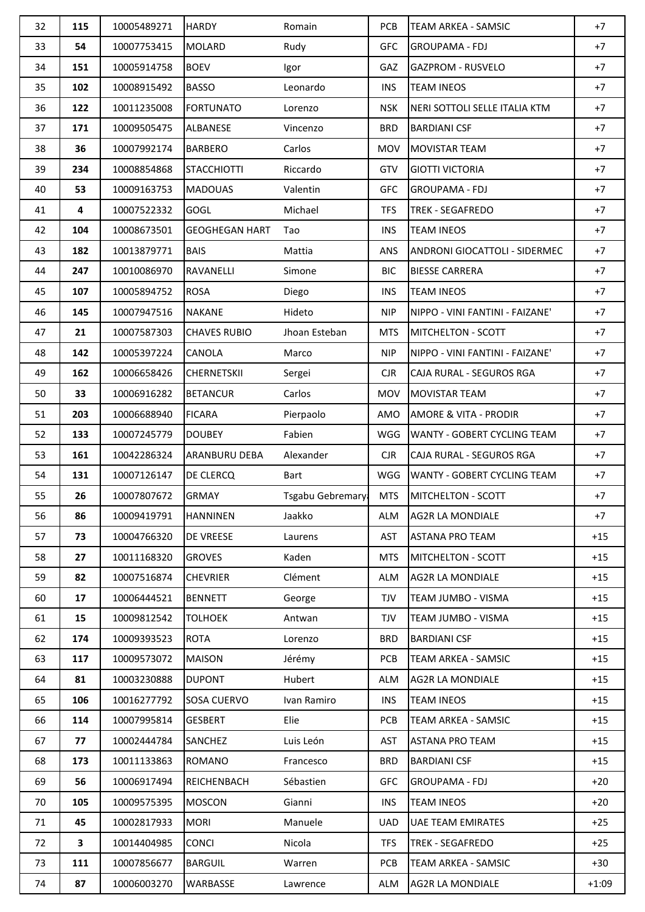| 32 | 115 | 10005489271 | <b>HARDY</b>          | Romain           | <b>PCB</b> | <b>TEAM ARKEA - SAMSIC</b>           | $+7$    |
|----|-----|-------------|-----------------------|------------------|------------|--------------------------------------|---------|
| 33 | 54  | 10007753415 | <b>MOLARD</b>         | Rudy             | <b>GFC</b> | <b>GROUPAMA - FDJ</b>                | $+7$    |
| 34 | 151 | 10005914758 | <b>BOEV</b>           | Igor             | GAZ        | <b>GAZPROM - RUSVELO</b>             | $+7$    |
| 35 | 102 | 10008915492 | <b>BASSO</b>          | Leonardo         | <b>INS</b> | <b>TEAM INEOS</b>                    | $+7$    |
| 36 | 122 | 10011235008 | <b>FORTUNATO</b>      | Lorenzo          | <b>NSK</b> | NERI SOTTOLI SELLE ITALIA KTM        | $+7$    |
| 37 | 171 | 10009505475 | <b>ALBANESE</b>       | Vincenzo         | <b>BRD</b> | <b>BARDIANI CSF</b>                  | $+7$    |
| 38 | 36  | 10007992174 | <b>BARBERO</b>        | Carlos           | <b>MOV</b> | <b>MOVISTAR TEAM</b>                 | $+7$    |
| 39 | 234 | 10008854868 | <b>STACCHIOTTI</b>    | Riccardo         | GTV        | <b>GIOTTI VICTORIA</b>               | $+7$    |
| 40 | 53  | 10009163753 | <b>MADOUAS</b>        | Valentin         | <b>GFC</b> | <b>GROUPAMA - FDJ</b>                | $+7$    |
| 41 | 4   | 10007522332 | GOGL                  | Michael          | TFS.       | <b>TREK - SEGAFREDO</b>              | $+7$    |
| 42 | 104 | 10008673501 | <b>GEOGHEGAN HART</b> | Tao              | <b>INS</b> | <b>TEAM INEOS</b>                    | $+7$    |
| 43 | 182 | 10013879771 | <b>BAIS</b>           | Mattia           | ANS        | <b>ANDRONI GIOCATTOLI - SIDERMEC</b> | $+7$    |
| 44 | 247 | 10010086970 | RAVANELLI             | Simone           | <b>BIC</b> | <b>BIESSE CARRERA</b>                | $+7$    |
| 45 | 107 | 10005894752 | <b>ROSA</b>           | Diego            | <b>INS</b> | <b>TEAM INEOS</b>                    | $+7$    |
| 46 | 145 | 10007947516 | <b>NAKANE</b>         | Hideto           | <b>NIP</b> | NIPPO - VINI FANTINI - FAIZANE'      | $+7$    |
| 47 | 21  | 10007587303 | <b>CHAVES RUBIO</b>   | Jhoan Esteban    | <b>MTS</b> | <b>MITCHELTON - SCOTT</b>            | $+7$    |
| 48 | 142 | 10005397224 | CANOLA                | Marco            | <b>NIP</b> | NIPPO - VINI FANTINI - FAIZANE'      | $+7$    |
| 49 | 162 | 10006658426 | <b>CHERNETSKII</b>    | Sergei           | <b>CJR</b> | CAJA RURAL - SEGUROS RGA             | $+7$    |
| 50 | 33  | 10006916282 | <b>BETANCUR</b>       | Carlos           | <b>MOV</b> | <b>MOVISTAR TEAM</b>                 | $+7$    |
| 51 | 203 | 10006688940 | <b>FICARA</b>         | Pierpaolo        | AMO        | AMORE & VITA - PRODIR                | $+7$    |
| 52 | 133 | 10007245779 | <b>DOUBEY</b>         | Fabien           | WGG        | <b>WANTY - GOBERT CYCLING TEAM</b>   | $+7$    |
| 53 | 161 | 10042286324 | <b>ARANBURU DEBA</b>  | Alexander        | <b>CJR</b> | CAJA RURAL - SEGUROS RGA             | $+7$    |
| 54 | 131 | 10007126147 | <b>DE CLERCQ</b>      | <b>Bart</b>      | WGG        | <b>WANTY - GOBERT CYCLING TEAM</b>   | $+7$    |
| 55 | 26  | 10007807672 | <b>GRMAY</b>          | Tsgabu Gebremary | <b>MTS</b> | MITCHELTON - SCOTT                   | +7      |
| 56 | 86  | 10009419791 | <b>HANNINEN</b>       | Jaakko           | ALM        | <b>AG2R LA MONDIALE</b>              | $+7$    |
| 57 | 73  | 10004766320 | <b>DE VREESE</b>      | Laurens          | AST        | <b>ASTANA PRO TEAM</b>               | $+15$   |
| 58 | 27  | 10011168320 | <b>GROVES</b>         | Kaden            | <b>MTS</b> | <b>MITCHELTON - SCOTT</b>            | $+15$   |
| 59 | 82  | 10007516874 | <b>CHEVRIER</b>       | Clément          | ALM        | <b>AG2R LA MONDIALE</b>              | $+15$   |
| 60 | 17  | 10006444521 | <b>BENNETT</b>        | George           | <b>TJV</b> | TEAM JUMBO - VISMA                   | $+15$   |
| 61 | 15  | 10009812542 | <b>TOLHOEK</b>        | Antwan           | <b>TJV</b> | TEAM JUMBO - VISMA                   | $+15$   |
| 62 | 174 | 10009393523 | <b>ROTA</b>           | Lorenzo          | <b>BRD</b> | <b>BARDIANI CSF</b>                  | $+15$   |
| 63 | 117 | 10009573072 | <b>MAISON</b>         | Jérémy           | <b>PCB</b> | TEAM ARKEA - SAMSIC                  | $+15$   |
| 64 | 81  | 10003230888 | <b>DUPONT</b>         | Hubert           | ALM        | <b>AG2R LA MONDIALE</b>              | $+15$   |
| 65 | 106 | 10016277792 | <b>SOSA CUERVO</b>    | Ivan Ramiro      | <b>INS</b> | <b>TEAM INEOS</b>                    | $+15$   |
| 66 | 114 | 10007995814 | <b>GESBERT</b>        | Elie             | PCB        | TEAM ARKEA - SAMSIC                  | $+15$   |
| 67 | 77  | 10002444784 | SANCHEZ               | Luis León        | AST        | <b>ASTANA PRO TEAM</b>               | $+15$   |
| 68 | 173 | 10011133863 | <b>ROMANO</b>         | Francesco        | <b>BRD</b> | <b>BARDIANI CSF</b>                  | $+15$   |
| 69 | 56  | 10006917494 | REICHENBACH           | Sébastien        | <b>GFC</b> | <b>GROUPAMA - FDJ</b>                | $+20$   |
| 70 | 105 | 10009575395 | <b>MOSCON</b>         | Gianni           | <b>INS</b> | <b>TEAM INEOS</b>                    | $+20$   |
| 71 | 45  | 10002817933 | <b>MORI</b>           | Manuele          | <b>UAD</b> | <b>UAE TEAM EMIRATES</b>             | $+25$   |
| 72 | 3   | 10014404985 | <b>CONCI</b>          | Nicola           | <b>TFS</b> | <b>TREK - SEGAFREDO</b>              | $+25$   |
| 73 | 111 | 10007856677 | <b>BARGUIL</b>        | Warren           | PCB        | TEAM ARKEA - SAMSIC                  | $+30$   |
| 74 | 87  | 10006003270 | WARBASSE              | Lawrence         | ALM        | AG2R LA MONDIALE                     | $+1:09$ |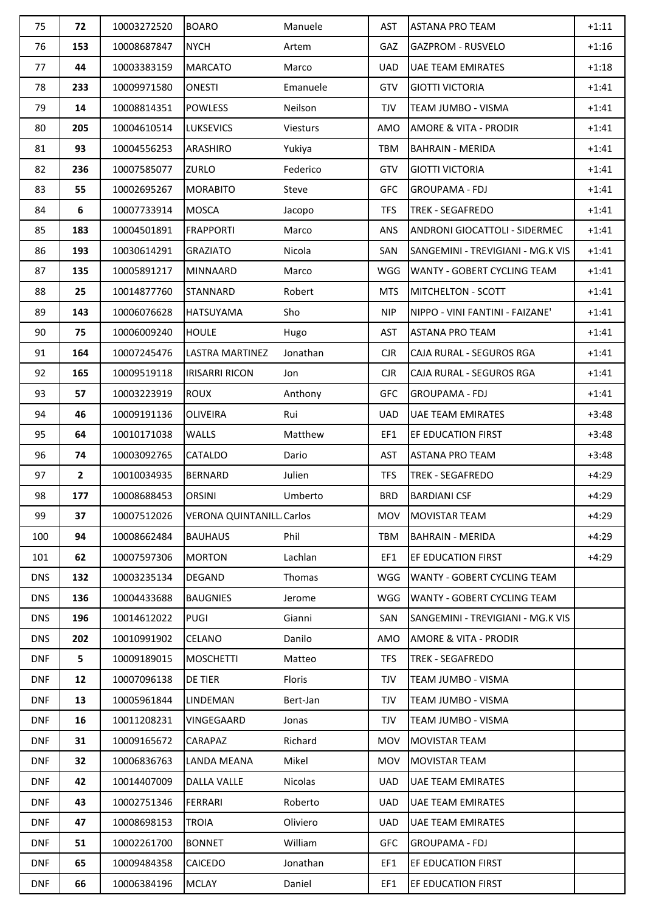| 75         | 72             | 10003272520 | <b>BOARO</b>                    | Manuele         | <b>AST</b> | <b>ASTANA PRO TEAM</b>               | $+1:11$ |
|------------|----------------|-------------|---------------------------------|-----------------|------------|--------------------------------------|---------|
| 76         | 153            | 10008687847 | <b>NYCH</b>                     | Artem           | GAZ        | <b>GAZPROM - RUSVELO</b>             | $+1:16$ |
| 77         | 44             | 10003383159 | <b>MARCATO</b>                  | Marco           | <b>UAD</b> | <b>UAE TEAM EMIRATES</b>             | $+1:18$ |
| 78         | 233            | 10009971580 | <b>ONESTI</b>                   | Emanuele        | GTV        | <b>GIOTTI VICTORIA</b>               | $+1:41$ |
| 79         | 14             | 10008814351 | <b>POWLESS</b>                  | Neilson         | <b>TJV</b> | TEAM JUMBO - VISMA                   | $+1:41$ |
| 80         | 205            | 10004610514 | <b>LUKSEVICS</b>                | <b>Viesturs</b> | AMO        | AMORE & VITA - PRODIR                | $+1:41$ |
| 81         | 93             | 10004556253 | ARASHIRO                        | Yukiya          | <b>TBM</b> | <b>BAHRAIN - MERIDA</b>              | $+1:41$ |
| 82         | 236            | 10007585077 | ZURLO                           | Federico        | GTV        | <b>GIOTTI VICTORIA</b>               | $+1:41$ |
| 83         | 55             | 10002695267 | <b>MORABITO</b>                 | Steve           | GFC        | <b>GROUPAMA - FDJ</b>                | $+1:41$ |
| 84         | 6              | 10007733914 | <b>MOSCA</b>                    | Jacopo          | <b>TFS</b> | <b>TREK - SEGAFREDO</b>              | $+1:41$ |
| 85         | 183            | 10004501891 | <b>FRAPPORTI</b>                | Marco           | ANS        | <b>ANDRONI GIOCATTOLI - SIDERMEC</b> | $+1:41$ |
| 86         | 193            | 10030614291 | <b>GRAZIATO</b>                 | Nicola          | SAN        | SANGEMINI - TREVIGIANI - MG.K VIS    | $+1:41$ |
| 87         | 135            | 10005891217 | <b>MINNAARD</b>                 | Marco           | WGG        | <b>WANTY - GOBERT CYCLING TEAM</b>   | $+1:41$ |
| 88         | 25             | 10014877760 | <b>STANNARD</b>                 | Robert          | <b>MTS</b> | <b>MITCHELTON - SCOTT</b>            | $+1:41$ |
| 89         | 143            | 10006076628 | <b>HATSUYAMA</b>                | Sho             | <b>NIP</b> | NIPPO - VINI FANTINI - FAIZANE'      | $+1:41$ |
| 90         | 75             | 10006009240 | <b>HOULE</b>                    | Hugo            | <b>AST</b> | <b>ASTANA PRO TEAM</b>               | $+1:41$ |
| 91         | 164            | 10007245476 | LASTRA MARTINEZ                 | Jonathan        | <b>CJR</b> | CAJA RURAL - SEGUROS RGA             | $+1:41$ |
| 92         | 165            | 10009519118 | <b>IRISARRI RICON</b>           | Jon             | <b>CJR</b> | CAJA RURAL - SEGUROS RGA             | $+1:41$ |
| 93         | 57             | 10003223919 | <b>ROUX</b>                     | Anthony         | <b>GFC</b> | <b>GROUPAMA - FDJ</b>                | $+1:41$ |
| 94         | 46             | 10009191136 | <b>OLIVEIRA</b>                 | Rui             | <b>UAD</b> | <b>UAE TEAM EMIRATES</b>             | $+3:48$ |
| 95         | 64             | 10010171038 | <b>WALLS</b>                    | Matthew         | EF1        | EF EDUCATION FIRST                   | $+3:48$ |
| 96         | 74             | 10003092765 | CATALDO                         | Dario           | <b>AST</b> | <b>ASTANA PRO TEAM</b>               | $+3:48$ |
| 97         | $\overline{2}$ | 10010034935 | <b>BERNARD</b>                  | Julien          | <b>TFS</b> | TREK - SEGAFREDO                     | $+4:29$ |
| 98         | 177            | 10008688453 | <b>ORSINI</b>                   | Umberto         | <b>BRD</b> | <b>BARDIANI CSF</b>                  | $+4:29$ |
| 99         | 37             | 10007512026 | <b>VERONA QUINTANILL Carlos</b> |                 | MOV        | <b>MOVISTAR TEAM</b>                 | $+4:29$ |
| 100        | 94             | 10008662484 | <b>BAUHAUS</b>                  | Phil            | TBM        | <b>BAHRAIN - MERIDA</b>              | $+4:29$ |
| 101        | 62             | 10007597306 | <b>MORTON</b>                   | Lachlan         | EF1        | EF EDUCATION FIRST                   | $+4:29$ |
| <b>DNS</b> | 132            | 10003235134 | <b>DEGAND</b>                   | Thomas          | WGG        | WANTY - GOBERT CYCLING TEAM          |         |
| <b>DNS</b> | 136            | 10004433688 | <b>BAUGNIES</b>                 | Jerome          | WGG        | <b>WANTY - GOBERT CYCLING TEAM</b>   |         |
| <b>DNS</b> | 196            | 10014612022 | <b>PUGI</b>                     | Gianni          | SAN        | SANGEMINI - TREVIGIANI - MG.K VIS    |         |
| <b>DNS</b> | 202            | 10010991902 | <b>CELANO</b>                   | Danilo          | AMO        | AMORE & VITA - PRODIR                |         |
| <b>DNF</b> | 5              | 10009189015 | <b>MOSCHETTI</b>                | Matteo          | <b>TFS</b> | <b>TREK - SEGAFREDO</b>              |         |
| <b>DNF</b> | 12             | 10007096138 | DE TIER                         | Floris          | TJV        | TEAM JUMBO - VISMA                   |         |
| <b>DNF</b> | 13             | 10005961844 | LINDEMAN                        | Bert-Jan        | <b>TJV</b> | TEAM JUMBO - VISMA                   |         |
| <b>DNF</b> | 16             | 10011208231 | VINGEGAARD                      | Jonas           | TJV        | TEAM JUMBO - VISMA                   |         |
| <b>DNF</b> | 31             | 10009165672 | CARAPAZ                         | Richard         | <b>MOV</b> | <b>MOVISTAR TEAM</b>                 |         |
| <b>DNF</b> | 32             | 10006836763 | LANDA MEANA                     | Mikel           | <b>MOV</b> | <b>MOVISTAR TEAM</b>                 |         |
| <b>DNF</b> | 42             | 10014407009 | <b>DALLA VALLE</b>              | Nicolas         | <b>UAD</b> | UAE TEAM EMIRATES                    |         |
| <b>DNF</b> | 43             | 10002751346 | <b>FERRARI</b>                  | Roberto         | <b>UAD</b> | <b>UAE TEAM EMIRATES</b>             |         |
| <b>DNF</b> | 47             | 10008698153 | <b>TROIA</b>                    | Oliviero        | <b>UAD</b> | UAE TEAM EMIRATES                    |         |
| <b>DNF</b> | 51             | 10002261700 | <b>BONNET</b>                   | William         | <b>GFC</b> | <b>GROUPAMA - FDJ</b>                |         |
| <b>DNF</b> | 65             | 10009484358 | CAICEDO                         | Jonathan        | EF1        | EF EDUCATION FIRST                   |         |
| <b>DNF</b> | 66             | 10006384196 | <b>MCLAY</b>                    | Daniel          | EF1        | EF EDUCATION FIRST                   |         |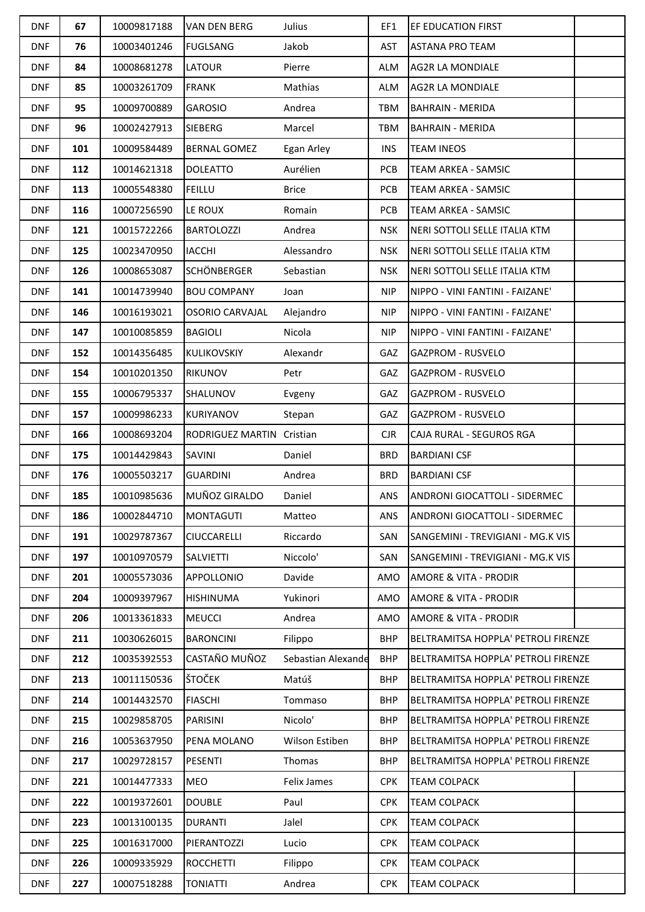| <b>DNF</b> | 67  | 10009817188 | <b>VAN DEN BERG</b>       | Julius             | EF1        | <b>EF EDUCATION FIRST</b>            |  |
|------------|-----|-------------|---------------------------|--------------------|------------|--------------------------------------|--|
| <b>DNF</b> | 76  | 10003401246 | <b>FUGLSANG</b>           | Jakob              | AST        | <b>ASTANA PRO TEAM</b>               |  |
| <b>DNF</b> | 84  | 10008681278 | <b>LATOUR</b>             | Pierre             | ALM        | <b>AG2R LA MONDIALE</b>              |  |
| <b>DNF</b> | 85  | 10003261709 | <b>FRANK</b>              | Mathias            | ALM        | <b>AG2R LA MONDIALE</b>              |  |
| <b>DNF</b> | 95  | 10009700889 | <b>GAROSIO</b>            | Andrea             | <b>TBM</b> | <b>BAHRAIN - MERIDA</b>              |  |
| <b>DNF</b> | 96  | 10002427913 | <b>SIEBERG</b>            | Marcel             | <b>TBM</b> | <b>BAHRAIN - MERIDA</b>              |  |
| <b>DNF</b> | 101 | 10009584489 | <b>BERNAL GOMEZ</b>       | Egan Arley         | <b>INS</b> | <b>TEAM INEOS</b>                    |  |
| <b>DNF</b> | 112 | 10014621318 | <b>DOLEATTO</b>           | Aurélien           | PCB        | <b>TEAM ARKEA - SAMSIC</b>           |  |
| <b>DNF</b> | 113 | 10005548380 | <b>FEILLU</b>             | <b>Brice</b>       | <b>PCB</b> | TEAM ARKEA - SAMSIC                  |  |
| <b>DNF</b> | 116 | 10007256590 | LE ROUX                   | Romain             | <b>PCB</b> | <b>TEAM ARKEA - SAMSIC</b>           |  |
| <b>DNF</b> | 121 | 10015722266 | <b>BARTOLOZZI</b>         | Andrea             | <b>NSK</b> | NERI SOTTOLI SELLE ITALIA KTM        |  |
| <b>DNF</b> | 125 | 10023470950 | <b>IACCHI</b>             | Alessandro         | <b>NSK</b> | NERI SOTTOLI SELLE ITALIA KTM        |  |
| <b>DNF</b> | 126 | 10008653087 | <b>SCHÖNBERGER</b>        | Sebastian          | <b>NSK</b> | NERI SOTTOLI SELLE ITALIA KTM        |  |
| <b>DNF</b> | 141 | 10014739940 | <b>BOU COMPANY</b>        | Joan               | <b>NIP</b> | NIPPO - VINI FANTINI - FAIZANE'      |  |
| <b>DNF</b> | 146 | 10016193021 | OSORIO CARVAJAL           | Alejandro          | <b>NIP</b> | NIPPO - VINI FANTINI - FAIZANE'      |  |
| <b>DNF</b> | 147 | 10010085859 | <b>BAGIOLI</b>            | Nicola             | <b>NIP</b> | NIPPO - VINI FANTINI - FAIZANE'      |  |
| <b>DNF</b> | 152 | 10014356485 | <b>KULIKOVSKIY</b>        | Alexandr           | GAZ        | <b>GAZPROM - RUSVELO</b>             |  |
| <b>DNF</b> | 154 | 10010201350 | <b>RIKUNOV</b>            | Petr               | GAZ        | <b>GAZPROM - RUSVELO</b>             |  |
| <b>DNF</b> | 155 | 10006795337 | <b>SHALUNOV</b>           | Evgeny             | GAZ        | <b>GAZPROM - RUSVELO</b>             |  |
| <b>DNF</b> | 157 | 10009986233 | KURIYANOV                 | Stepan             | GAZ        | <b>GAZPROM - RUSVELO</b>             |  |
| <b>DNF</b> | 166 | 10008693204 | RODRIGUEZ MARTIN Cristian |                    | $C$ JR     | CAJA RURAL - SEGUROS RGA             |  |
| <b>DNF</b> | 175 | 10014429843 | SAVINI                    | Daniel             | <b>BRD</b> | <b>BARDIANI CSF</b>                  |  |
| <b>DNF</b> | 176 | 10005503217 | <b>GUARDINI</b>           | Andrea             | <b>BRD</b> | <b>BARDIANI CSF</b>                  |  |
| <b>DNF</b> | 185 | 10010985636 | MUÑOZ GIRALDO             | Daniel             | ANS        | ANDRONI GIOCATTOLI - SIDERMEC        |  |
| <b>DNF</b> | 186 | 10002844710 | <b>MONTAGUTI</b>          | Matteo             | ANS.       | <b>ANDRONI GIOCATTOLI - SIDERMEC</b> |  |
| <b>DNF</b> | 191 | 10029787367 | <b>CIUCCARELLI</b>        | Riccardo           | SAN        | SANGEMINI - TREVIGIANI - MG.K VIS    |  |
| <b>DNF</b> | 197 | 10010970579 | <b>SALVIETTI</b>          | Niccolo'           | SAN        | SANGEMINI - TREVIGIANI - MG.K VIS    |  |
| <b>DNF</b> | 201 | 10005573036 | APPOLLONIO                | Davide             | AMO        | <b>AMORE &amp; VITA - PRODIR</b>     |  |
| <b>DNF</b> | 204 | 10009397967 | <b>HISHINUMA</b>          | Yukinori           | AMO        | <b>AMORE &amp; VITA - PRODIR</b>     |  |
| <b>DNF</b> | 206 | 10013361833 | <b>MEUCCI</b>             | Andrea             | AMO        | <b>AMORE &amp; VITA - PRODIR</b>     |  |
| <b>DNF</b> | 211 | 10030626015 | <b>BARONCINI</b>          | Filippo            | <b>BHP</b> | BELTRAMITSA HOPPLA' PETROLI FIRENZE  |  |
| <b>DNF</b> | 212 | 10035392553 | CASTAÑO MUÑOZ             | Sebastian Alexande | <b>BHP</b> | BELTRAMITSA HOPPLA' PETROLI FIRENZE  |  |
| <b>DNF</b> | 213 | 10011150536 | ŠTOČEK                    | Matúš              | <b>BHP</b> | BELTRAMITSA HOPPLA' PETROLI FIRENZE  |  |
| <b>DNF</b> | 214 | 10014432570 | <b>FIASCHI</b>            | Tommaso            | <b>BHP</b> | BELTRAMITSA HOPPLA' PETROLI FIRENZE  |  |
| <b>DNF</b> | 215 | 10029858705 | PARISINI                  | Nicolo'            | <b>BHP</b> | BELTRAMITSA HOPPLA' PETROLI FIRENZE  |  |
| <b>DNF</b> | 216 | 10053637950 | PENA MOLANO               | Wilson Estiben     | <b>BHP</b> | BELTRAMITSA HOPPLA' PETROLI FIRENZE  |  |
| <b>DNF</b> | 217 | 10029728157 | <b>PESENTI</b>            | Thomas             | <b>BHP</b> | BELTRAMITSA HOPPLA' PETROLI FIRENZE  |  |
| <b>DNF</b> | 221 | 10014477333 | MEO                       | Felix James        | <b>CPK</b> | <b>TEAM COLPACK</b>                  |  |
| <b>DNF</b> | 222 | 10019372601 | <b>DOUBLE</b>             | Paul               | <b>CPK</b> | <b>TEAM COLPACK</b>                  |  |
| <b>DNF</b> | 223 | 10013100135 | <b>DURANTI</b>            | Jalel              | <b>CPK</b> | <b>TEAM COLPACK</b>                  |  |
| <b>DNF</b> | 225 | 10016317000 | PIERANTOZZI               | Lucio              | <b>CPK</b> | <b>TEAM COLPACK</b>                  |  |
| <b>DNF</b> | 226 | 10009335929 | <b>ROCCHETTI</b>          | Filippo            | <b>CPK</b> | <b>TEAM COLPACK</b>                  |  |
| <b>DNF</b> | 227 | 10007518288 | <b>TONIATTI</b>           | Andrea             | <b>CPK</b> | <b>TEAM COLPACK</b>                  |  |